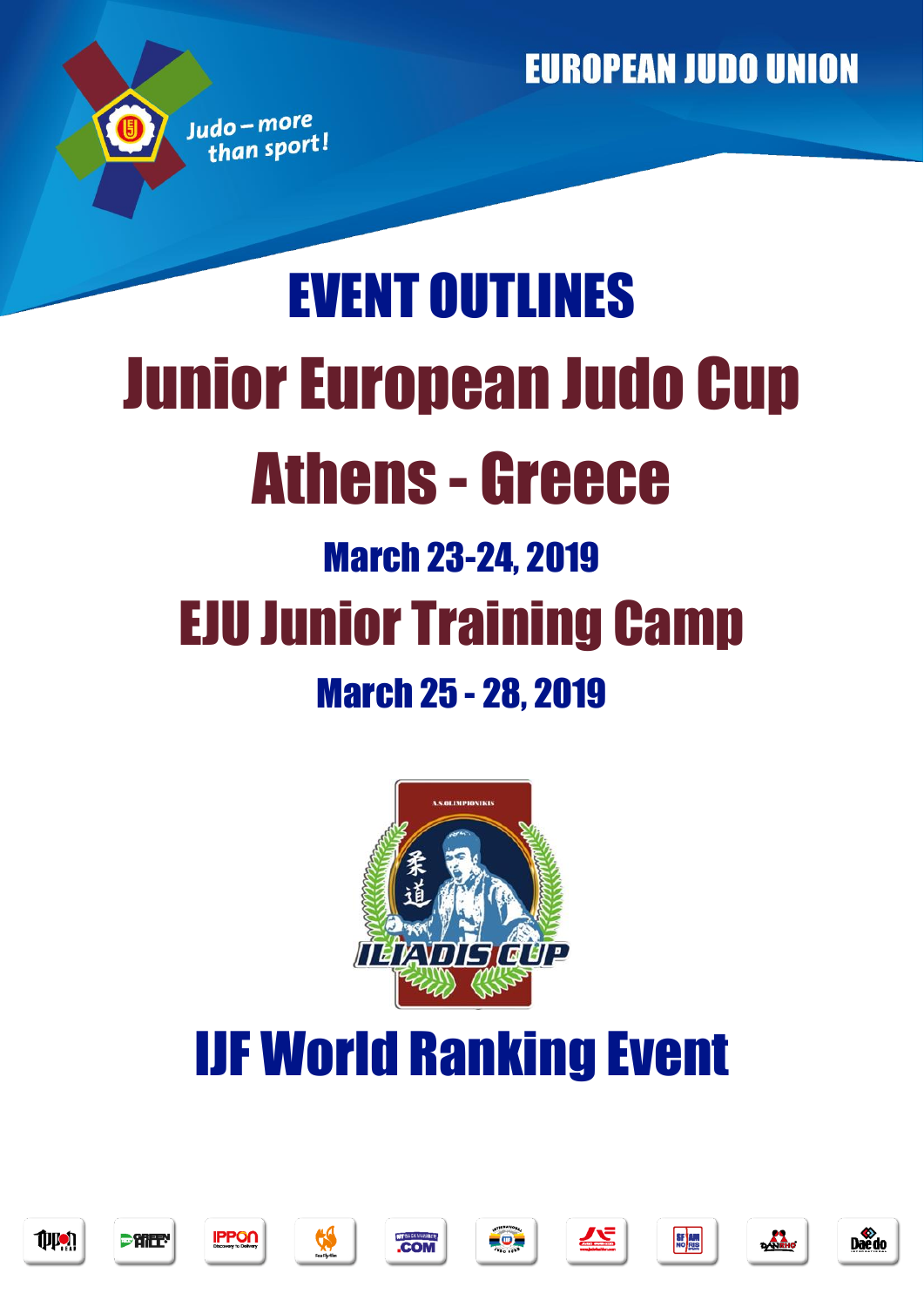# EVENT OUTLINES Junior European Judo Cup Athens - Greece March 23-24, 2019 EJU Junior Training Camp March 25 - 28, 2019



## IJF World Ranking Event







Judo-more than sport













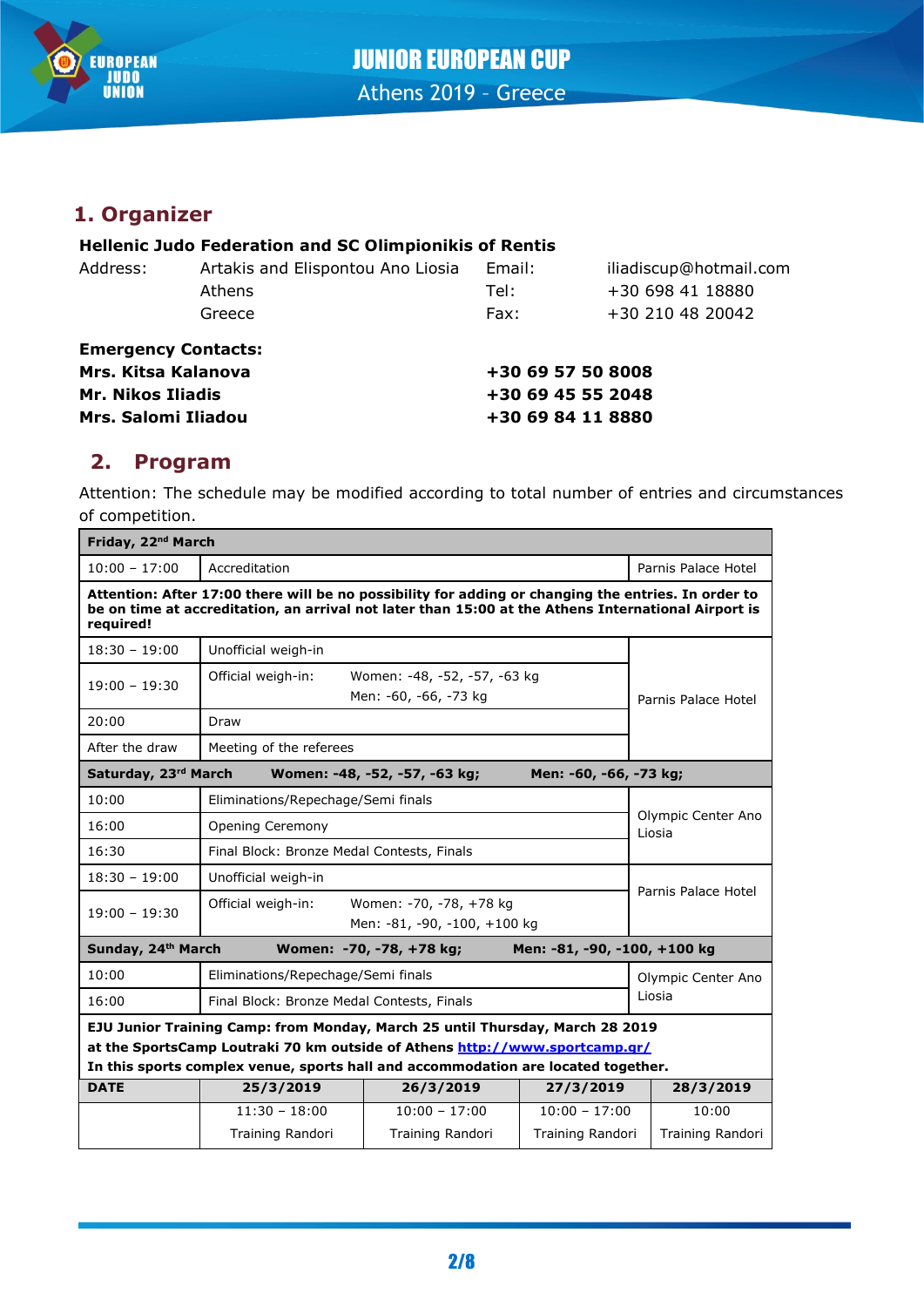

## **1. Organizer**

#### **Hellenic Judo Federation and SC Olimpionikis of Rentis**

| Artakis and Elispontou Ano Liosia<br>Address: |                                                   | iliadiscup@hotmail.com                           |
|-----------------------------------------------|---------------------------------------------------|--------------------------------------------------|
| Athens                                        | Tel:                                              | +30 698 41 18880                                 |
| Greece                                        | Fax:                                              | +30 210 48 20042                                 |
|                                               |                                                   |                                                  |
|                                               | +30 69 57 50 8008                                 |                                                  |
| <b>Mr. Nikos Iliadis</b>                      |                                                   |                                                  |
| Mrs. Salomi Iliadou                           |                                                   |                                                  |
|                                               | <b>Emergency Contacts:</b><br>Mrs. Kitsa Kalanova | Email:<br>+30 69 45 55 2048<br>+30 69 84 11 8880 |

## **2. Program**

Attention: The schedule may be modified according to total number of entries and circumstances of competition.

| Friday, 22 <sup>nd</sup> March                                                                                                                                                                                          |                                                                               |                                                       |                     |                              |  |
|-------------------------------------------------------------------------------------------------------------------------------------------------------------------------------------------------------------------------|-------------------------------------------------------------------------------|-------------------------------------------------------|---------------------|------------------------------|--|
| $10:00 - 17:00$                                                                                                                                                                                                         | Accreditation                                                                 |                                                       |                     | Parnis Palace Hotel          |  |
| Attention: After 17:00 there will be no possibility for adding or changing the entries. In order to<br>be on time at accreditation, an arrival not later than 15:00 at the Athens International Airport is<br>required! |                                                                               |                                                       |                     |                              |  |
| $18:30 - 19:00$                                                                                                                                                                                                         | Unofficial weigh-in                                                           |                                                       |                     |                              |  |
| $19:00 - 19:30$                                                                                                                                                                                                         | Official weigh-in:                                                            | Women: -48, -52, -57, -63 kg<br>Men: -60, -66, -73 kg |                     | Parnis Palace Hotel          |  |
| 20:00                                                                                                                                                                                                                   | Draw                                                                          |                                                       |                     |                              |  |
| After the draw                                                                                                                                                                                                          | Meeting of the referees                                                       |                                                       |                     |                              |  |
| Saturday, 23rd March<br>Women: -48, -52, -57, -63 kg;<br>Men: -60, -66, -73 kg;                                                                                                                                         |                                                                               |                                                       |                     |                              |  |
| 10:00                                                                                                                                                                                                                   | Eliminations/Repechage/Semi finals                                            |                                                       |                     |                              |  |
| 16:00                                                                                                                                                                                                                   | Opening Ceremony                                                              |                                                       |                     | Olympic Center Ano<br>Liosia |  |
| 16:30                                                                                                                                                                                                                   | Final Block: Bronze Medal Contests, Finals                                    |                                                       |                     |                              |  |
| $18:30 - 19:00$                                                                                                                                                                                                         | Unofficial weigh-in                                                           |                                                       |                     |                              |  |
| $19:00 - 19:30$                                                                                                                                                                                                         | Official weigh-in:<br>Women: -70, -78, +78 kg<br>Men: -81, -90, -100, +100 kg |                                                       | Parnis Palace Hotel |                              |  |
| Sunday, 24th March<br>Women: -70, -78, +78 kg;<br>Men: -81, -90, -100, +100 kg                                                                                                                                          |                                                                               |                                                       |                     |                              |  |
| 10:00                                                                                                                                                                                                                   | Eliminations/Repechage/Semi finals                                            |                                                       |                     | Olympic Center Ano           |  |
| 16:00                                                                                                                                                                                                                   | Final Block: Bronze Medal Contests, Finals                                    |                                                       | Liosia              |                              |  |
| EJU Junior Training Camp: from Monday, March 25 until Thursday, March 28 2019                                                                                                                                           |                                                                               |                                                       |                     |                              |  |
| at the SportsCamp Loutraki 70 km outside of Athens http://www.sportcamp.gr/                                                                                                                                             |                                                                               |                                                       |                     |                              |  |
| In this sports complex venue, sports hall and accommodation are located together.                                                                                                                                       |                                                                               |                                                       |                     |                              |  |
| <b>DATE</b>                                                                                                                                                                                                             | 25/3/2019                                                                     | 26/3/2019                                             | 27/3/2019           | 28/3/2019                    |  |
|                                                                                                                                                                                                                         | $11:30 - 18:00$                                                               | $10:00 - 17:00$                                       | $10:00 - 17:00$     | 10:00                        |  |
|                                                                                                                                                                                                                         | Training Randori                                                              | Training Randori                                      | Training Randori    | Training Randori             |  |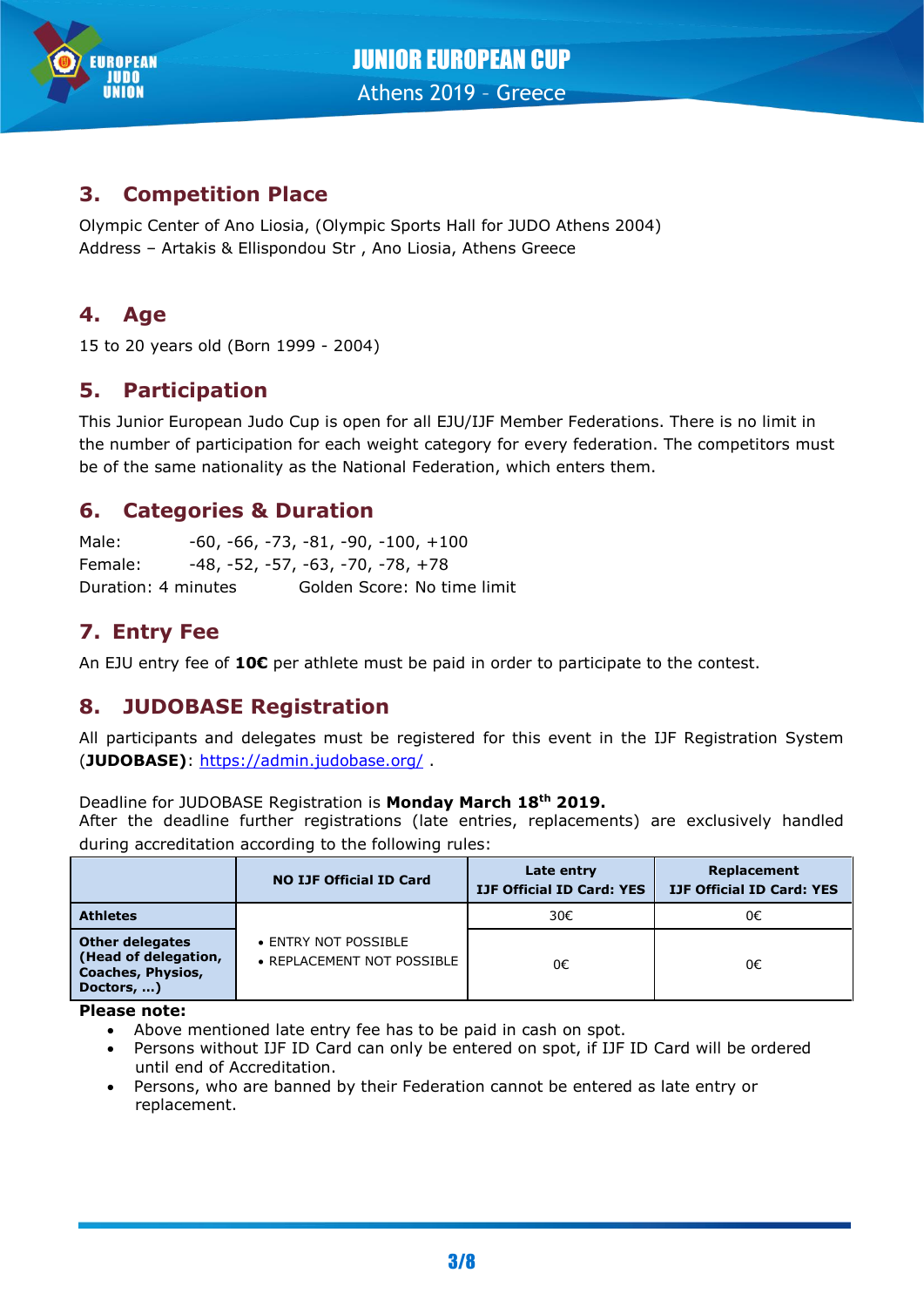

## **3. Competition Place**

Olympic Center of Ano Liosia, (Olympic Sports Hall for JUDO Athens 2004) Address – Artakis & Ellispondou Str , Ano Liosia, Athens Greece

## **4. Age**

15 to 20 years old (Born 1999 - 2004)

## **5. Participation**

This Junior European Judo Cup is open for all EJU/IJF Member Federations. There is no limit in the number of participation for each weight category for every federation. The competitors must be of the same nationality as the National Federation, which enters them.

## **6. Categories & Duration**

Male:  $-60, -66, -73, -81, -90, -100, +100$ Female: -48, -52, -57, -63, -70, -78, +78 Duration: 4 minutes Golden Score: No time limit

## **7. Entry Fee**

An EJU entry fee of **10€** per athlete must be paid in order to participate to the contest.

## **8. JUDOBASE Registration**

All participants and delegates must be registered for this event in the IJF Registration System (**JUDOBASE)**:<https://admin.judobase.org/> .

#### Deadline for JUDOBASE Registration is **Monday March 18th 2019.**

After the deadline further registrations (late entries, replacements) are exclusively handled during accreditation according to the following rules:

|                                                                                          | <b>NO IJF Official ID Card</b>                     | Late entry<br><b>IJF Official ID Card: YES</b> | Replacement<br><b>IJF Official ID Card: YES</b> |
|------------------------------------------------------------------------------------------|----------------------------------------------------|------------------------------------------------|-------------------------------------------------|
| <b>Athletes</b>                                                                          |                                                    | 30€                                            | 0€                                              |
| <b>Other delegates</b><br>(Head of delegation,<br><b>Coaches, Physios,</b><br>Doctors, ) | • ENTRY NOT POSSIBLE<br>• REPLACEMENT NOT POSSIBLE | 0€                                             | 0€                                              |

**Please note:**

- Above mentioned late entry fee has to be paid in cash on spot.
- Persons without IJF ID Card can only be entered on spot, if IJF ID Card will be ordered until end of Accreditation.
- Persons, who are banned by their Federation cannot be entered as late entry or replacement.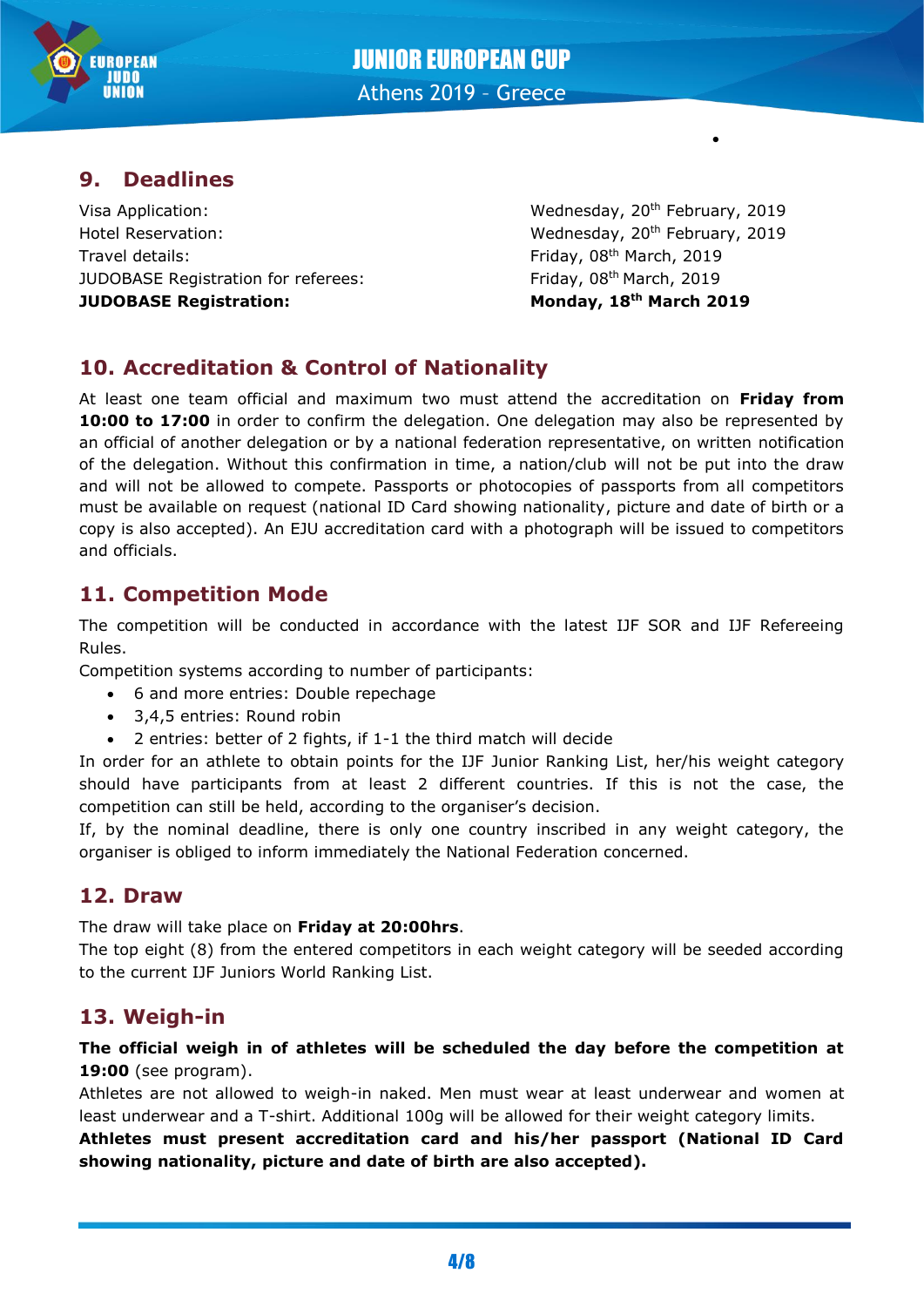

## JUNIOR EUROPEAN CUP Athens 2019 – Greece

**9. Deadlines**

Visa Application: Visa Application: Wednesday, 20<sup>th</sup> February, 2019 Hotel Reservation: Wednesday, 20th February, 2019 Travel details: JUDOBASE Registration for referees: **JUDOBASE Registration: Monday, 18th March 2019**

Friday, 08<sup>th</sup> March, 2019 Friday, 08<sup>th</sup> March, 2019

•

## **10. Accreditation & Control of Nationality**

At least one team official and maximum two must attend the accreditation on **Friday from**  10:00 to 17:00 in order to confirm the delegation. One delegation may also be represented by an official of another delegation or by a national federation representative, on written notification of the delegation. Without this confirmation in time, a nation/club will not be put into the draw and will not be allowed to compete. Passports or photocopies of passports from all competitors must be available on request (national ID Card showing nationality, picture and date of birth or a copy is also accepted). An EJU accreditation card with a photograph will be issued to competitors and officials.

## **11. Competition Mode**

The competition will be conducted in accordance with the latest IJF SOR and IJF Refereeing Rules.

Competition systems according to number of participants:

- 6 and more entries: Double repechage
- 3,4,5 entries: Round robin
- 2 entries: better of 2 fights, if 1-1 the third match will decide

In order for an athlete to obtain points for the IJF Junior Ranking List, her/his weight category should have participants from at least 2 different countries. If this is not the case, the competition can still be held, according to the organiser's decision.

If, by the nominal deadline, there is only one country inscribed in any weight category, the organiser is obliged to inform immediately the National Federation concerned.

## **12. Draw**

The draw will take place on **Friday at 20:00hrs**.

The top eight (8) from the entered competitors in each weight category will be seeded according to the current IJF Juniors World Ranking List.

## **13. Weigh-in**

#### **The official weigh in of athletes will be scheduled the day before the competition at 19:00** (see program).

Athletes are not allowed to weigh-in naked. Men must wear at least underwear and women at least underwear and a T-shirt. Additional 100g will be allowed for their weight category limits.

**Athletes must present accreditation card and his/her passport (National ID Card showing nationality, picture and date of birth are also accepted).**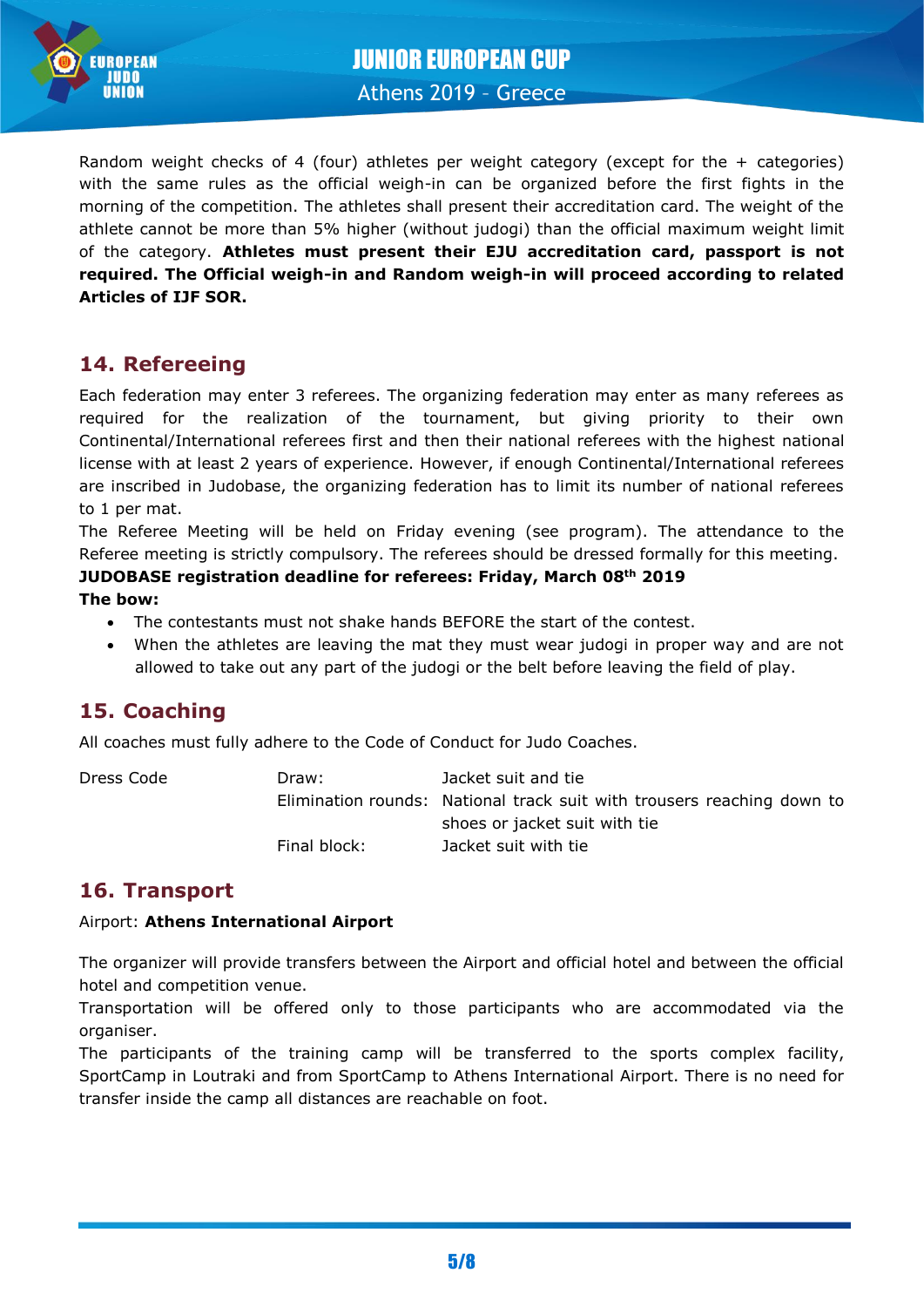

Random weight checks of 4 (four) athletes per weight category (except for the  $+$  categories) with the same rules as the official weigh-in can be organized before the first fights in the morning of the competition. The athletes shall present their accreditation card. The weight of the athlete cannot be more than 5% higher (without judogi) than the official maximum weight limit of the category. **Athletes must present their EJU accreditation card, passport is not required. The Official weigh-in and Random weigh-in will proceed according to related Articles of IJF SOR.**

## **14. Refereeing**

Each federation may enter 3 referees. The organizing federation may enter as many referees as required for the realization of the tournament, but giving priority to their own Continental/International referees first and then their national referees with the highest national license with at least 2 years of experience. However, if enough Continental/International referees are inscribed in Judobase, the organizing federation has to limit its number of national referees to 1 per mat.

The Referee Meeting will be held on Friday evening (see program). The attendance to the Referee meeting is strictly compulsory. The referees should be dressed formally for this meeting.

#### **JUDOBASE registration deadline for referees: Friday, March 08th 2019**

#### **The bow:**

- The contestants must not shake hands BEFORE the start of the contest.
- When the athletes are leaving the mat they must wear judogi in proper way and are not allowed to take out any part of the judogi or the belt before leaving the field of play.

## **15. Coaching**

All coaches must fully adhere to the Code of Conduct for Judo Coaches.

| Dress Code | Draw:        | Jacket suit and tie                                                    |
|------------|--------------|------------------------------------------------------------------------|
|            |              | Elimination rounds: National track suit with trousers reaching down to |
|            |              | shoes or jacket suit with tie                                          |
|            | Final block: | Jacket suit with tie                                                   |

## **16. Transport**

#### Airport: **Athens International Airport**

The organizer will provide transfers between the Airport and official hotel and between the official hotel and competition venue.

Transportation will be offered only to those participants who are accommodated via the organiser.

The participants of the training camp will be transferred to the sports complex facility, SportCamp in Loutraki and from SportCamp to Athens International Airport. There is no need for transfer inside the camp all distances are reachable on foot.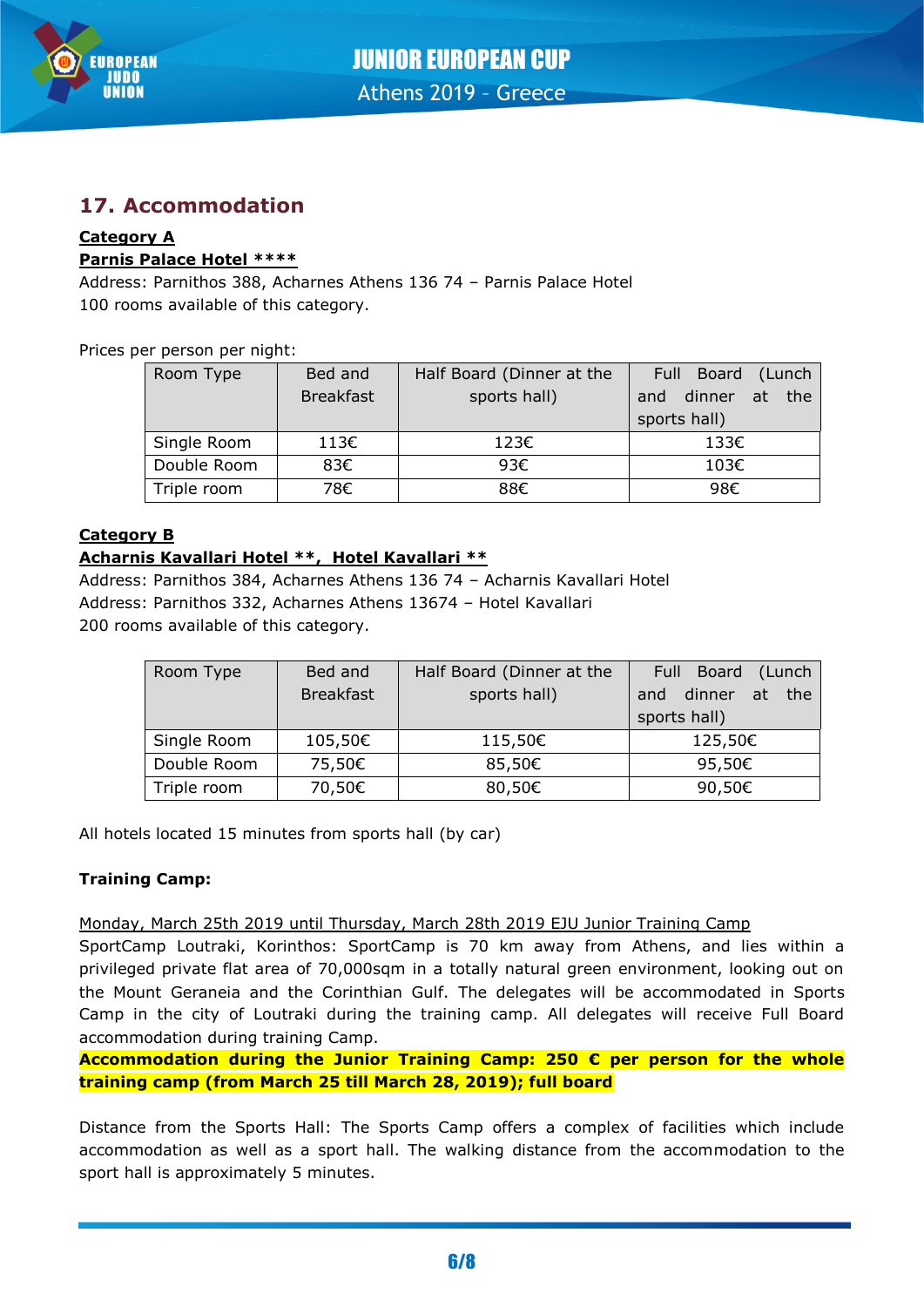

## **17. Accommodation**

#### **Category A Parnis Palace Hotel \*\*\*\***

Address: Parnithos 388, Acharnes Athens 136 74 – Parnis Palace Hotel 100 rooms available of this category.

Prices per person per night:

| Room Type   | Bed and          | Half Board (Dinner at the | Full Board (Lunch       |
|-------------|------------------|---------------------------|-------------------------|
|             | <b>Breakfast</b> | sports hall)              | dinner<br>at the<br>and |
|             |                  |                           | sports hall)            |
| Single Room | 113€             | 123€                      | 133€                    |
| Double Room | 83€              | 93€                       | 103€                    |
| Triple room | 78€              | 88€                       | 98€                     |

#### **Category B**

#### **Acharnis Kavallari Hotel \*\*, Hotel Kavallari \*\***

Address: Parnithos 384, Acharnes Athens 136 74 – Acharnis Kavallari Hotel Address: Parnithos 332, Acharnes Athens 13674 – Hotel Kavallari 200 rooms available of this category.

| Room Type   | Bed and          | Half Board (Dinner at the | Full Board (Lunch          |
|-------------|------------------|---------------------------|----------------------------|
|             | <b>Breakfast</b> | sports hall)              | dinner<br>the<br>at<br>and |
|             |                  |                           | sports hall)               |
| Single Room | 105,50€          | 115,50€                   | 125,50€                    |
| Double Room | 75,50€           | 85,50€                    | 95,50€                     |
| Triple room | 70,50€           | 80,50€                    | 90,50€                     |

All hotels located 15 minutes from sports hall (by car)

#### **Training Camp:**

Monday, March 25th 2019 until Thursday, March 28th 2019 EJU Junior Training Camp

SportCamp Loutraki, Korinthos: SportCamp is 70 km away from Athens, and lies within a privileged private flat area of 70,000sqm in a totally natural green environment, looking out on the Mount Geraneia and the Corinthian Gulf. The delegates will be accommodated in Sports Camp in the city of Loutraki during the training camp. All delegates will receive Full Board accommodation during training Camp.

**Accommodation during the Junior Training Camp: 250 € per person for the whole training camp (from March 25 till March 28, 2019); full board**

Distance from the Sports Hall: The Sports Camp offers a complex of facilities which include accommodation as well as a sport hall. The walking distance from the accommodation to the sport hall is approximately 5 minutes.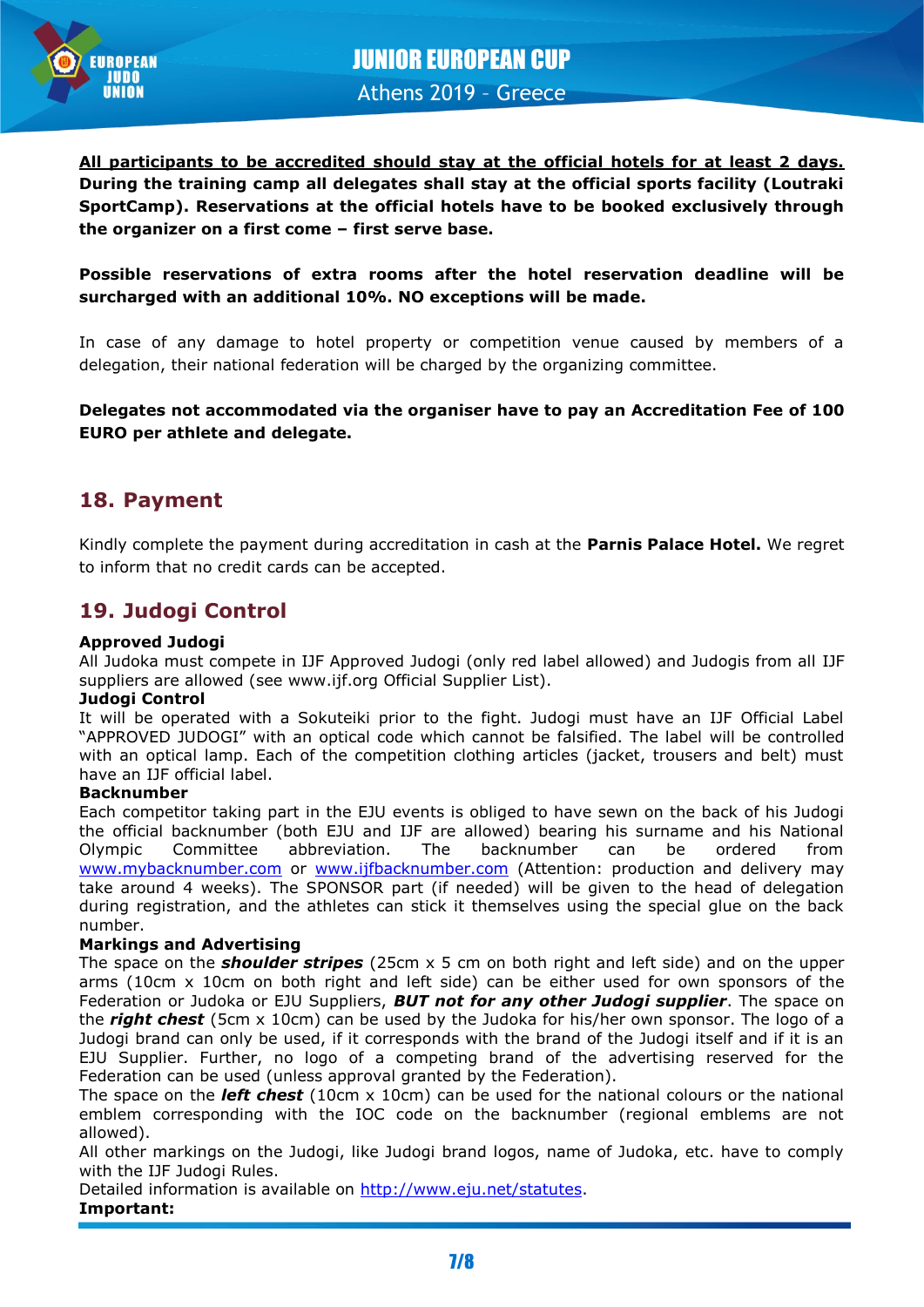

**All participants to be accredited should stay at the official hotels for at least 2 days. During the training camp all delegates shall stay at the official sports facility (Loutraki SportCamp). Reservations at the official hotels have to be booked exclusively through the organizer on a first come – first serve base.**

#### **Possible reservations of extra rooms after the hotel reservation deadline will be surcharged with an additional 10%. NO exceptions will be made.**

In case of any damage to hotel property or competition venue caused by members of a delegation, their national federation will be charged by the organizing committee.

#### **Delegates not accommodated via the organiser have to pay an Accreditation Fee of 100 EURO per athlete and delegate.**

## **18. Payment**

Kindly complete the payment during accreditation in cash at the **Parnis Palace Hotel.** We regret to inform that no credit cards can be accepted.

## **19. Judogi Control**

#### **Approved Judogi**

All Judoka must compete in IJF Approved Judogi (only red label allowed) and Judogis from all IJF suppliers are allowed (see www.ijf.org Official Supplier List).

#### **Judogi Control**

It will be operated with a Sokuteiki prior to the fight. Judogi must have an IJF Official Label "APPROVED JUDOGI" with an optical code which cannot be falsified. The label will be controlled with an optical lamp. Each of the competition clothing articles (jacket, trousers and belt) must have an IJF official label.

#### **Backnumber**

Each competitor taking part in the EJU events is obliged to have sewn on the back of his Judogi the official backnumber (both EJU and IJF are allowed) bearing his surname and his National Olympic Committee abbreviation. The backnumber can be ordered from [www.mybacknumber.com](file:///C:/alla_h/Hoesl/AppData/Local/POR%20Coimbra/www.mybacknumber.com) or [www.ijfbacknumber.com](file:///C:/alla_h/Hoesl/AppData/Local/POR%20Coimbra/www.ijfbacknumber.com) (Attention: production and delivery may take around 4 weeks). The SPONSOR part (if needed) will be given to the head of delegation during registration, and the athletes can stick it themselves using the special glue on the back number.

#### **Markings and Advertising**

The space on the *shoulder stripes* (25cm x 5 cm on both right and left side) and on the upper arms (10cm x 10cm on both right and left side) can be either used for own sponsors of the Federation or Judoka or EJU Suppliers, *BUT not for any other Judogi supplier*. The space on the *right chest* (5cm x 10cm) can be used by the Judoka for his/her own sponsor. The logo of a Judogi brand can only be used, if it corresponds with the brand of the Judogi itself and if it is an EJU Supplier. Further, no logo of a competing brand of the advertising reserved for the Federation can be used (unless approval granted by the Federation).

The space on the *left chest* (10cm x 10cm) can be used for the national colours or the national emblem corresponding with the IOC code on the backnumber (regional emblems are not allowed).

All other markings on the Judogi, like Judogi brand logos, name of Judoka, etc. have to comply with the IJF Judogi Rules.

Detailed information is available on [http://www.eju.net/statutes.](http://www.eju.net/statutes)

#### **Important:**